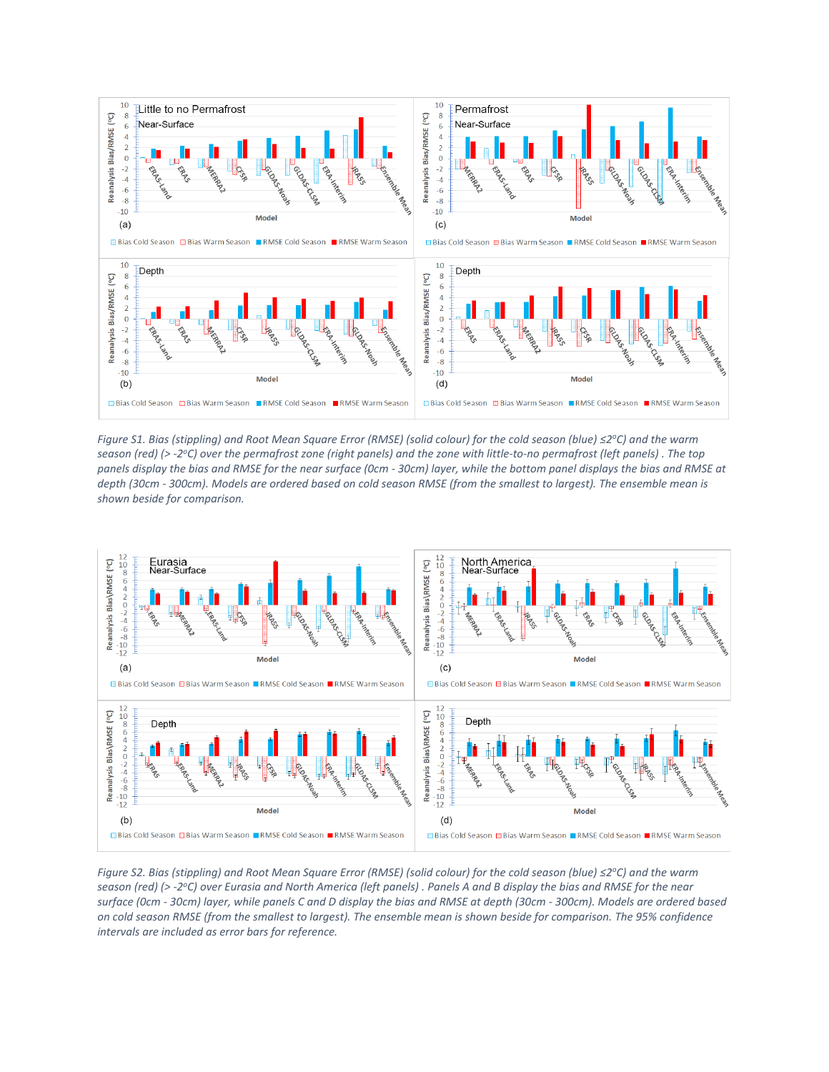

*Figure S1. Bias (stippling) and Root Mean Square Error (RMSE) (solid colour) for the cold season (blue) ≤2 <sup>o</sup>C) and the warm season (red) (> -2 <sup>o</sup>C) over the permafrost zone (right panels) and the zone with little-to-no permafrost (left panels) . The top panels display the bias and RMSE for the near surface (0cm - 30cm) layer, while the bottom panel displays the bias and RMSE at depth (30cm - 300cm). Models are ordered based on cold season RMSE (from the smallest to largest). The ensemble mean is shown beside for comparison.*



*Figure S2. Bias (stippling) and Root Mean Square Error (RMSE) (solid colour) for the cold season (blue) ≤2 <sup>o</sup>C) and the warm season (red) (> -2 <sup>o</sup>C) over Eurasia and North America (left panels) . Panels A and B display the bias and RMSE for the near surface (0cm - 30cm) layer, while panels C and D display the bias and RMSE at depth (30cm - 300cm). Models are ordered based on cold season RMSE (from the smallest to largest). The ensemble mean is shown beside for comparison. The 95% confidence intervals are included as error bars for reference.*